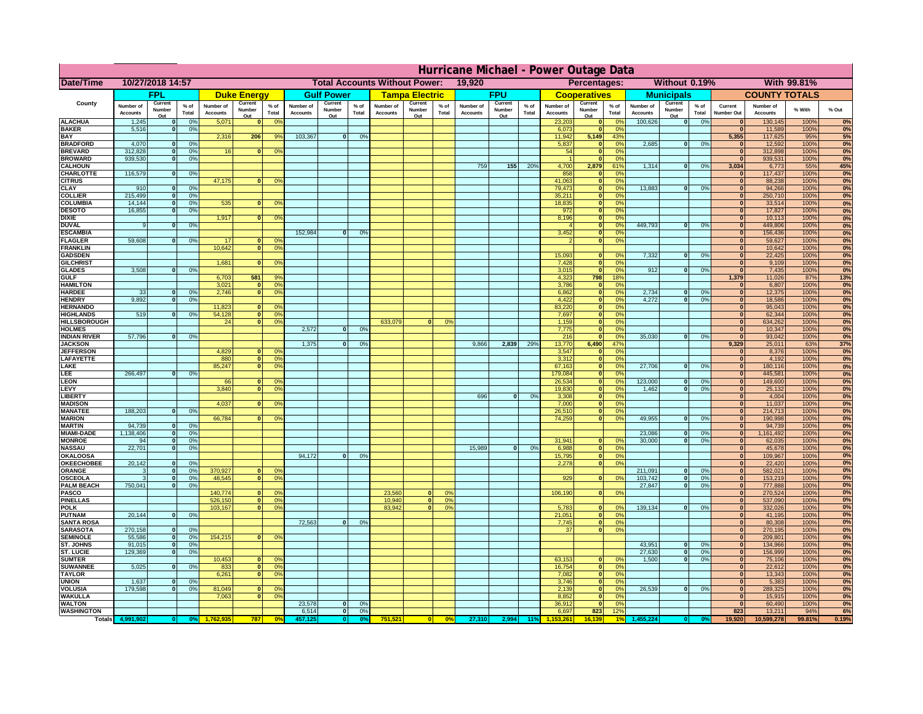|                                       | Hurricane Michael - Power Outage Data |                                  |                 |                              |                    |                                                |                              |                          |                |                              |                       |                                              |                              |                   |                 |                              |                     |                                  |                              |                              |                 |                              |                              |              |           |
|---------------------------------------|---------------------------------------|----------------------------------|-----------------|------------------------------|--------------------|------------------------------------------------|------------------------------|--------------------------|----------------|------------------------------|-----------------------|----------------------------------------------|------------------------------|-------------------|-----------------|------------------------------|---------------------|----------------------------------|------------------------------|------------------------------|-----------------|------------------------------|------------------------------|--------------|-----------|
| Date/Time                             | 10/27/2018 14:57                      |                                  |                 |                              |                    | <b>Total Accounts Without Power:</b><br>19,920 |                              |                          |                |                              |                       | Without 0.19%<br>With 99.81%<br>Percentages: |                              |                   |                 |                              |                     |                                  |                              |                              |                 |                              |                              |              |           |
|                                       |                                       | FPL                              |                 |                              | <b>Duke Energy</b> |                                                |                              | <b>Gulf Power</b>        |                |                              | <b>Tampa Electric</b> |                                              |                              | <b>FPU</b>        |                 |                              | <b>Cooperatives</b> |                                  |                              | <b>Municipals</b>            |                 |                              | <b>COUNTY TOTALS</b>         |              |           |
| County                                | Number of<br><b>Accounts</b>          | Current<br>Number                | $%$ of<br>Total | Number of<br><b>Accounts</b> | Current<br>Number  | $%$ of<br>Total                                | Number of<br><b>Accounts</b> | Current<br>Number<br>Out | % of<br>Total  | Number of<br><b>Accounts</b> | Current<br>Number     | $%$ of<br>Total                              | Number of<br><b>Accounts</b> | Current<br>Number | $%$ of<br>Total | Number of<br><b>Accounts</b> | Current<br>Number   | $%$ of<br>Total                  | Number of<br><b>Accounts</b> | Current<br>Number            | $%$ of<br>Total | Current<br><b>Number Out</b> | Number of<br><b>Accounts</b> | % With       | % Out     |
| <b>ALACHUA</b>                        | 1,245                                 | Out<br>$\mathbf{0}$              | 0%              | 5,071                        | Out<br>$\bf{0}$    | 0 <sup>9</sup>                                 |                              |                          |                |                              | Out                   |                                              |                              | Out               |                 | 23,203                       | Out<br> 0           | 0 <sup>9</sup>                   | 100,626                      | Out<br> 0                    | 0%              | $\bf{0}$                     | 130,145                      | 100%         | 0%        |
| <b>BAKER</b>                          | 5,516                                 | 0                                | 0%              |                              |                    |                                                |                              |                          |                |                              |                       |                                              |                              |                   |                 | 6,073                        | 0                   | 0%                               |                              |                              |                 | $\overline{0}$               | 11,589                       | 100%         | 0%        |
| <b>BAY</b><br><b>BRADFORD</b>         | 4,070                                 | $\mathbf{0}$                     | 0%              | 2,316                        | 206                | 9%                                             | 103,367                      | 0                        | 0%             |                              |                       |                                              |                              |                   |                 | 11,942<br>5,837              | 5,149<br> 0         | 43%<br>0%                        | 2,685                        | 0                            | 0%              | 5,355<br>$\bf{0}$            | 117,625<br>12,592            | 95%<br>100%  | 5%<br>0%  |
| <b>BREVARD</b>                        | 312,828                               | 0                                | 0%              | 16                           | 0                  | 0 <sup>o</sup>                                 |                              |                          |                |                              |                       |                                              |                              |                   |                 | 54                           | 0                   | 0%                               |                              |                              |                 | 0                            | 312,898                      | 100%         | 0%        |
| <b>BROWARD</b>                        | 939.530                               | 0                                | 0%              |                              |                    |                                                |                              |                          |                |                              |                       |                                              |                              |                   |                 |                              | 0                   | 0%                               |                              |                              |                 | $\bf{0}$                     | 939,531                      | 100%         | 0%        |
| <b>CALHOUN</b>                        |                                       |                                  |                 |                              |                    |                                                |                              |                          |                |                              |                       |                                              | 759                          | 155               | 20%             | 4,700                        | 2,879               | 61%                              | 1,314                        | 0                            | 0%              | 3,034                        | 6,773                        | 55%          | 45%       |
| CHARLOTTE<br><b>CITRUS</b>            | 116,579                               | 0                                | 0%              | 47,175                       | $\mathbf{0}$       | 0 <sup>o</sup>                                 |                              |                          |                |                              |                       |                                              |                              |                   |                 | 858<br>41,063                | $\mathbf 0$<br> 0   | 0 <sup>9</sup><br>0 <sup>9</sup> |                              |                              |                 | $\bf{0}$<br>$\bf{0}$         | 117,437<br>88,238            | 100%<br>100% | 0%<br>0%  |
| <b>CLAY</b>                           | 910                                   | $\mathbf{0}$                     | 0%              |                              |                    |                                                |                              |                          |                |                              |                       |                                              |                              |                   |                 | 79,473                       | 0                   | 0%                               | 13,883                       | $\mathbf{0}$                 | 0%              | $\bf{0}$                     | 94,266                       | 100%         | 0%        |
| <b>COLLIER</b>                        | 215,499                               | $\mathbf{0}$                     | 0 <sup>9</sup>  |                              |                    |                                                |                              |                          |                |                              |                       |                                              |                              |                   |                 | 35,211                       | 0                   | 0%                               |                              |                              |                 | $\bf{0}$                     | 250,710                      | 100%         | 0%        |
| <b>COLUMBIA</b>                       | 14,144                                | $\mathbf 0$                      | 0%              | 535                          | $\mathbf{0}$       | 0 <sup>9</sup>                                 |                              |                          |                |                              |                       |                                              |                              |                   |                 | 18,835                       | 0                   | 0%                               |                              |                              |                 | $\bf{0}$                     | 33,514                       | 100%         | 0%        |
| <b>DESOTO</b><br><b>DIXIE</b>         | 16,855                                | $\mathbf{0}$                     | 0%              | 1,917                        | $\Omega$           | 0 <sup>9</sup>                                 |                              |                          |                |                              |                       |                                              |                              |                   |                 | 972<br>8,196                 | 0 <br> 0            | 0%<br>0%                         |                              |                              |                 | $\bf{0}$<br>$\Omega$         | 17,827<br>10,113             | 100%<br>100% | 0%<br>0%  |
| <b>DUVAL</b>                          | 9                                     | $\Omega$                         | 0%              |                              |                    |                                                |                              |                          |                |                              |                       |                                              |                              |                   |                 |                              | 0                   | 0%                               | 449.793                      | $\overline{\mathbf{0}}$      | 0%              | $\Omega$                     | 449,806                      | 100%         | 0%        |
| <b>ESCAMBIA</b>                       |                                       |                                  |                 |                              |                    |                                                | 152,984                      | $\mathbf{0}$             | 0 <sup>9</sup> |                              |                       |                                              |                              |                   |                 | 3,452                        | 0                   | 0%                               |                              |                              |                 | $\Omega$                     | 156,436                      | 100%         | 0%        |
| <b>FLAGLER</b>                        | 59,608                                | $\overline{0}$                   | 0%              | 17                           | $\bf{0}$           | 0 <sup>o</sup>                                 |                              |                          |                |                              |                       |                                              |                              |                   |                 |                              | 0                   | 0%                               |                              |                              |                 | $\bf{0}$                     | 59,627                       | 100%         | 0%        |
| <b>FRANKLIN</b>                       |                                       |                                  |                 | 10,642                       | 0                  | 0 <sup>9</sup>                                 |                              |                          |                |                              |                       |                                              |                              |                   |                 |                              |                     |                                  |                              |                              |                 | $\bf{0}$<br>$\overline{0}$   | 10,642                       | 100%         | 0%        |
| <b>GADSDEN</b><br><b>GILCHRIST</b>    |                                       |                                  |                 | 1,681                        | $\Omega$           | 0 <sup>9</sup>                                 |                              |                          |                |                              |                       |                                              |                              |                   |                 | 15,093<br>7,428              | $\mathbf{0}$<br> 0  | 0%<br>0%                         | 7,332                        | 0                            | 0%              | 0                            | 22,425<br>9,109              | 100%<br>100% | 0%<br>0%  |
| <b>GLADES</b>                         | 3,508                                 | 0                                | 0%              |                              |                    |                                                |                              |                          |                |                              |                       |                                              |                              |                   |                 | 3,015                        | 0                   | 0%                               | 912                          | $\overline{0}$               | 0%              | 0                            | 7,435                        | 100%         | 0%        |
| <b>GULF</b>                           |                                       |                                  |                 | 6,703                        | 581                | 9%                                             |                              |                          |                |                              |                       |                                              |                              |                   |                 | 4,323                        | 798                 | 18%                              |                              |                              |                 | 1,379                        | 11,026                       | 87%          | 13%       |
| <b>HAMILTON</b>                       |                                       |                                  |                 | 3,021                        | $\overline{0}$     | 0 <sup>9</sup>                                 |                              |                          |                |                              |                       |                                              |                              |                   |                 | 3,786                        | 0                   | 0%                               |                              |                              |                 | 0                            | 6,807                        | 100%         | 0%        |
| <b>HARDEE</b><br><b>HENDRY</b>        | 33<br>9.892                           | $\overline{0}$<br>$\overline{0}$ | 0%<br>0%        | 2.746                        |                    | 0 <br>0 <sup>9</sup>                           |                              |                          |                |                              |                       |                                              |                              |                   |                 | 6.862<br>4.422               | 0 <br> 0            | 0%<br>0%                         | 2.734<br>4.272               | $\mathbf{0}$<br>$\mathbf{0}$ | 0%<br>0%        | 0 <br> 0                     | 12,375<br>18,586             | 100%<br>100% | 0%        |
| <b>HERNANDO</b>                       |                                       |                                  |                 | 11,823                       | $\Omega$           | 0 <sup>o</sup>                                 |                              |                          |                |                              |                       |                                              |                              |                   |                 | 83,220                       | $\overline{0}$      | 0%                               |                              |                              |                 | 0                            | 95,043                       | 100%         | 0%<br>0%  |
| <b>HIGHLANDS</b>                      | 519                                   | 0                                | 0 <sup>9</sup>  | 54,128                       | 0                  | 0 <sup>9</sup>                                 |                              |                          |                |                              |                       |                                              |                              |                   |                 | 7,697                        | 0                   | 0%                               |                              |                              |                 | 0                            | 62,344                       | 100%         | 0%        |
| <b>HILLSBOROUGH</b>                   |                                       |                                  |                 | 24                           |                    | $\overline{0}$<br>0 <sup>9</sup>               |                              |                          |                | 633,079                      |                       | 0%                                           |                              |                   |                 | 1,159                        | $\overline{0}$      | 0%                               |                              |                              |                 | 0                            | 634,262                      | 100%         | 0%        |
| <b>HOLMES</b>                         |                                       |                                  |                 |                              |                    |                                                | 2.572                        | $\Omega$                 | 0%             |                              |                       |                                              |                              |                   |                 | 7,775                        | $\overline{0}$      | 0%                               |                              |                              |                 | 0                            | 10,347                       | 100%         | 0%        |
| <b>INDIAN RIVER</b><br><b>JACKSON</b> | 57,796                                | 0                                | 0%              |                              |                    |                                                | 1,375                        | $\mathbf{0}$             | 0%             |                              |                       |                                              | 9,866                        | 2,839             | 29%             | 216<br>13,770                | 0 <br>6,490         | 0%<br>47%                        | 35,030                       | $\mathbf{0}$                 | 0%              | 0 <br>9,329                  | 93,042<br>25,011             | 100%<br>63%  | 0%<br>37% |
| <b>JEFFERSOI</b>                      |                                       |                                  |                 | 4,829                        |                    | $\Omega$<br>$^{\circ}$                         |                              |                          |                |                              |                       |                                              |                              |                   |                 | 3,547                        | 0                   | 0%                               |                              |                              |                 | $\Omega$                     | 8,376                        | 100%         | 0%        |
| <b>LAFAYETTE</b>                      |                                       |                                  |                 | 880                          |                    | 0 <br>0 <sup>9</sup>                           |                              |                          |                |                              |                       |                                              |                              |                   |                 | 3,312                        | 0                   | 0%                               |                              |                              |                 | 0                            | 4,192                        | 100%         | 0%        |
| LAKE                                  |                                       |                                  |                 | 85,247                       |                    | 0 <br>0 <sup>9</sup>                           |                              |                          |                |                              |                       |                                              |                              |                   |                 | 67,163                       | 0                   | 0%                               | 27,706                       | $\mathbf{0}$                 | 0%              | 0                            | 180,116                      | 100%         | 0%        |
| LEE<br>LEON                           | 266,497                               | $\overline{0}$                   | 0%              |                              |                    | $\mathbf{0}$                                   |                              |                          |                |                              |                       |                                              |                              |                   |                 | 179,084<br>26,534            | 0 <br> 0            | 0%<br>0%                         | 123,000                      | $\mathbf{0}$                 |                 | 0 <br> 0                     | 445,581<br>149,600           | 100%<br>100% | 0%<br>0%  |
| LEVY                                  |                                       |                                  |                 | 66<br>3,840                  | $\Omega$           | 0 <sup>o</sup><br>0 <sup>9</sup>               |                              |                          |                |                              |                       |                                              |                              |                   |                 | 19,830                       | 0                   | 0%                               | 1,462                        | -ol                          | 0%<br>0%        | 0                            | 25,132                       | 100%         | 0%        |
| LIBERTY                               |                                       |                                  |                 |                              |                    |                                                |                              |                          |                |                              |                       |                                              | 696                          | $\Omega$          | 0%              | 3,308                        | 0                   | 0%                               |                              |                              |                 | 0                            | 4,004                        | 100%         | 0%        |
| <b>MADISON</b>                        |                                       |                                  |                 | 4,037                        | $\Omega$           | 0 <sup>9</sup>                                 |                              |                          |                |                              |                       |                                              |                              |                   |                 | 7,000                        | 0                   | 0%                               |                              |                              |                 | 0                            | 11,037                       | 100%         | 0%        |
| <b>MANATEE</b>                        | 188,203                               | 0                                | 0%              |                              |                    |                                                |                              |                          |                |                              |                       |                                              |                              |                   |                 | 26,510                       | 0                   | 0%                               |                              |                              |                 | 0                            | 214,713                      | 100%         | 0%        |
| <b>MARION</b><br><b>MARTIN</b>        | 94,739                                | 0                                | 0%              | 66,784                       | $\Omega$           | 0 <sup>9</sup>                                 |                              |                          |                |                              |                       |                                              |                              |                   |                 | 74,259                       | 0                   | 0%                               | 49,955                       | nl                           | 0%              | 0 <br> 0                     | 190,998<br>94,739            | 100%<br>100% | 0%<br>0%  |
| <b>MIAMI-DADE</b>                     | 1,138,406                             | 0                                | 0%              |                              |                    |                                                |                              |                          |                |                              |                       |                                              |                              |                   |                 |                              |                     |                                  | 23,086                       | $\mathbf{0}$                 | 0%              | 0                            | 1,161,492                    | 100%         | 0%        |
| <b>MONROE</b>                         | 94                                    | 0                                | 0%              |                              |                    |                                                |                              |                          |                |                              |                       |                                              |                              |                   |                 | 31,941                       | $\overline{0}$      | 0 <sup>9</sup>                   | 30,000                       | 0                            | 0%              | 0                            | 62,035                       | 100%         | 0%        |
| <b>NASSAU</b>                         | 22,701                                | 0                                | 0%              |                              |                    |                                                |                              |                          |                |                              |                       |                                              | 15,989                       | 0                 | 0%              | 6,988                        | 0                   | 0%                               |                              |                              |                 | 0                            | 45,678                       | 100%         | 0%        |
| <b>OKALOOSA</b><br><b>OKEECHOBEE</b>  | 20,142                                |                                  | 0%              |                              |                    |                                                | 94,172                       | $\mathbf{0}$             | 0%             |                              |                       |                                              |                              |                   |                 | 15,795                       | 0                   | 0%<br>0%                         |                              |                              |                 | 0                            | 109,967                      | 100%         | 0%<br>0%  |
| ORANGE                                | 3                                     | 0 <br> 0                         | 0%              | 370,927                      |                    | 0 <br>0 <sup>o</sup>                           |                              |                          |                |                              |                       |                                              |                              |                   |                 | 2,278                        |                     | 0                                | 211,091                      | $\overline{\mathbf{0}}$      | 0%              | 0 <br> 0                     | 22,420<br>582,021            | 100%<br>100% | 0%        |
| <b>OSCEOLA</b>                        | 3                                     | 0                                | 0%              | 48,545                       |                    | 0 <sup>9</sup><br> 0                           |                              |                          |                |                              |                       |                                              |                              |                   |                 | 929                          |                     | 0 <br>0%                         | 103,742                      | 0                            | 0%              | 0                            | 153,219                      | 100%         | 0%        |
| <b>PALM BEACH</b>                     | 750,041                               |                                  | 0%<br> 0        |                              |                    |                                                |                              |                          |                |                              |                       |                                              |                              |                   |                 |                              |                     |                                  | 27,847                       | $\overline{0}$               | 0%              | 0                            | 777,888                      | 100%         | 0%        |
| PASCO                                 |                                       |                                  |                 | 140,774                      |                    | 0 <sup>9</sup><br>$\Omega$                     |                              |                          |                | 23,560                       | $\Omega$              | 0°                                           |                              |                   |                 | 106,190                      |                     | 0 <br>0%                         |                              |                              |                 | 0                            | 270,524                      | 100%         | 0%        |
| <b>PINELLAS</b><br><b>POLK</b>        |                                       |                                  |                 | 526,150<br>103,167           |                    | 0 <sup>9</sup><br> 0 <br>0 <sup>9</sup><br> 0  |                              |                          |                | 10,940<br>83,942             | 0 <br>$\mathbf{a}$    | 0%<br>0%                                     |                              |                   |                 | 5,783                        | 0                   | $\Omega$                         | 139,134                      | 0                            | 0%              | $\Omega$<br> 0               | 537,090<br>332,026           | 100%<br>100% | 0%<br>0%  |
| <b>PUTNAM</b>                         | 20,144                                | 0                                | 0%              |                              |                    |                                                |                              |                          |                |                              |                       |                                              |                              |                   |                 | 21,051                       | $\ddot{\text{o}}$   | 0%                               |                              |                              |                 | $\bf{0}$                     | 41,195                       | 100%         | 0%        |
| <b>SANTA ROSA</b>                     |                                       |                                  |                 |                              |                    |                                                | 72,563                       | 0                        | 0%             |                              |                       |                                              |                              |                   |                 | 7,745                        | 0                   | 0%                               |                              |                              |                 | $\mathbf{0}$                 | 80,308                       | 100%         | 0%        |
| <b>SARASOTA</b>                       | 270,158                               | 0                                | 0%              |                              |                    |                                                |                              |                          |                |                              |                       |                                              |                              |                   |                 | 37                           |                     | 0 <br>0%                         |                              |                              |                 | 0                            | 270,195                      | 100%         | 0%        |
| <b>SEMINOLE</b><br>ST. JOHNS          | 55,586<br>91,015                      | 0 <br> 0                         | 0%<br>0%        | 154,215                      |                    | $\mathbf{0}$<br>0 <sup>9</sup>                 |                              |                          |                |                              |                       |                                              |                              |                   |                 |                              |                     |                                  | 43,951                       | -ol                          | 0%              | 0 <br> 0                     | 209,801<br>134,966           | 100%<br>100% | 0%<br>0%  |
| <b>ST. LUCIE</b>                      | 129.369                               | $\overline{0}$                   | 0%              |                              |                    |                                                |                              |                          |                |                              |                       |                                              |                              |                   |                 |                              |                     |                                  | 27.630                       | - O I                        | 0%              | 0                            | 156,999                      | 100%         | 0%        |
| <b>SUMTER</b>                         |                                       |                                  |                 | 10,453                       |                    | 0 <br>0 <sup>9</sup>                           |                              |                          |                |                              |                       |                                              |                              |                   |                 | 63,153                       | 0                   | 0%                               | 1.500                        | 0                            | 0%              | 0                            | 75,106                       | 100%         | 0%        |
| <b>SUWANNEE</b>                       | 5,025                                 | 0                                | 0%              | 833                          | 0                  | 0 <sup>o</sup>                                 |                              |                          |                |                              |                       |                                              |                              |                   |                 | 16,754                       | 0                   | 0%                               |                              |                              |                 | $\mathbf{0}$                 | 22,612                       | 100%         | 0%        |
| <b>TAYLOR</b>                         |                                       |                                  |                 | 6,261                        | 0                  | 0 <sup>9</sup>                                 |                              |                          |                |                              |                       |                                              |                              |                   |                 | 7,082                        | 0                   | 0%                               |                              |                              |                 | $\bf{0}$                     | 13,343                       | 100%         | 0%        |
| <b>UNION</b><br><b>VOLUSIA</b>        | 1,637<br>179,598                      | $\mathbf{0}$<br>0                | 0%<br>0%        | 81,049                       | $\mathbf{0}$       | $\mathbf{0}$                                   |                              |                          |                |                              |                       |                                              |                              |                   |                 | 3,746<br>2,139               | 0 <br> 0            | 0%<br>0%                         | 26,539                       | 0                            | 0%              | $\bf{0}$<br>$\bf{0}$         | 5,383<br>289,325             | 100%<br>100% | 0%<br>0%  |
| <b>WAKULLA</b>                        |                                       |                                  |                 | 7,063                        | $\mathbf{0}$       | 0 <sup>9</sup>                                 |                              |                          |                |                              |                       |                                              |                              |                   |                 | 8,852                        | 0                   | 0%                               |                              |                              |                 | $\mathbf{0}$                 | 15,915                       | 100%         | 0%        |
| <b>WALTON</b>                         |                                       |                                  |                 |                              |                    |                                                | 23,578                       | $\mathbf{0}$             | 0%             |                              |                       |                                              |                              |                   |                 | 36,912                       | 0                   | 0%                               |                              |                              |                 | $\mathbf{0}$                 | 60,490                       | 100%         | 0%        |
| <b>WASHINGTON</b>                     |                                       |                                  |                 |                              |                    |                                                | 6,514                        | 0                        | 0%             |                              |                       |                                              |                              |                   |                 | 6,697                        | 823                 | 12%                              |                              |                              |                 | 823                          | 13,211                       | 94%          | 6%        |
| <b>Totals</b>                         |                                       |                                  |                 |                              | 787                | 0 <sup>6</sup>                                 |                              | $\bullet$                |                | 751,521                      | 0                     | $\frac{1}{2}$                                | 27,310                       | 2,994             | 11%             |                              | 16.139              |                                  |                              |                              |                 | 19,920                       | 10,599,278                   | 99.81%       | 0.19%     |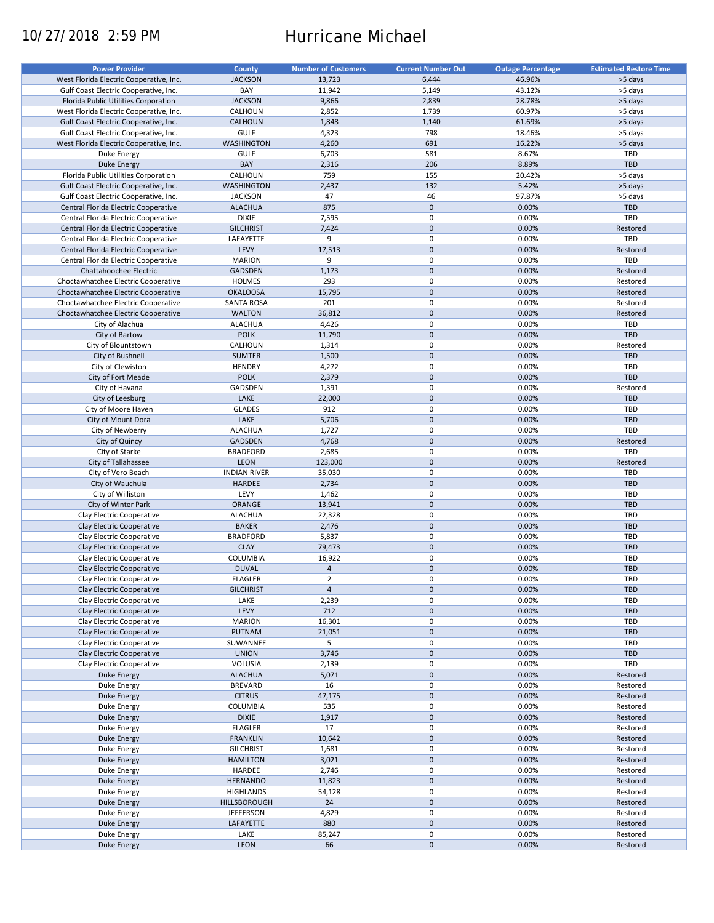# 10/27/2018 2:59 PM Hurricane Michael

| <b>Power Provider</b>                   | <b>County</b>       | <b>Number of Customers</b> | <b>Current Number Out</b> | <b>Outage Percentage</b> | <b>Estimated Restore Time</b> |
|-----------------------------------------|---------------------|----------------------------|---------------------------|--------------------------|-------------------------------|
|                                         |                     |                            |                           |                          |                               |
| West Florida Electric Cooperative, Inc. | <b>JACKSON</b>      | 13,723                     | 6,444                     | 46.96%                   | >5 days                       |
| Gulf Coast Electric Cooperative, Inc.   | BAY                 | 11,942                     | 5,149                     | 43.12%                   | >5 days                       |
| Florida Public Utilities Corporation    | <b>JACKSON</b>      | 9,866                      | 2,839                     | 28.78%                   | >5 days                       |
| West Florida Electric Cooperative, Inc. | CALHOUN             | 2,852                      | 1,739                     | 60.97%                   | >5 days                       |
| Gulf Coast Electric Cooperative, Inc.   | <b>CALHOUN</b>      | 1,848                      | 1,140                     | 61.69%                   | >5 days                       |
|                                         |                     |                            | 798                       |                          |                               |
| Gulf Coast Electric Cooperative, Inc.   | GULF                | 4,323                      |                           | 18.46%                   | >5 days                       |
| West Florida Electric Cooperative, Inc. | <b>WASHINGTON</b>   | 4,260                      | 691                       | 16.22%                   | >5 days                       |
| Duke Energy                             | <b>GULF</b>         | 6,703                      | 581                       | 8.67%                    | TBD                           |
| <b>Duke Energy</b>                      | BAY                 | 2,316                      | 206                       | 8.89%                    | <b>TBD</b>                    |
| Florida Public Utilities Corporation    | CALHOUN             | 759                        | 155                       | 20.42%                   | >5 days                       |
| Gulf Coast Electric Cooperative, Inc.   | <b>WASHINGTON</b>   | 2,437                      | 132                       | 5.42%                    | >5 days                       |
| Gulf Coast Electric Cooperative, Inc.   | <b>JACKSON</b>      | 47                         | 46                        | 97.87%                   | >5 days                       |
| Central Florida Electric Cooperative    | <b>ALACHUA</b>      | 875                        | $\mathbf 0$               | 0.00%                    | <b>TBD</b>                    |
|                                         |                     |                            |                           |                          |                               |
| Central Florida Electric Cooperative    | <b>DIXIE</b>        | 7,595                      | $\pmb{0}$                 | 0.00%                    | TBD                           |
| Central Florida Electric Cooperative    | <b>GILCHRIST</b>    | 7,424                      | $\pmb{0}$                 | 0.00%                    | Restored                      |
| Central Florida Electric Cooperative    | LAFAYETTE           | 9                          | $\pmb{0}$                 | 0.00%                    | TBD                           |
| Central Florida Electric Cooperative    | LEVY                | 17,513                     | $\mathbf 0$               | 0.00%                    | Restored                      |
| Central Florida Electric Cooperative    | <b>MARION</b>       | 9                          | $\pmb{0}$                 | 0.00%                    | TBD                           |
| Chattahoochee Electric                  | <b>GADSDEN</b>      | 1,173                      | $\mathbf 0$               | 0.00%                    | Restored                      |
|                                         | <b>HOLMES</b>       | 293                        | $\pmb{0}$                 | 0.00%                    | Restored                      |
| Choctawhatchee Electric Cooperative     |                     |                            |                           |                          |                               |
| Choctawhatchee Electric Cooperative     | <b>OKALOOSA</b>     | 15,795                     | $\mathbf 0$               | 0.00%                    | Restored                      |
| Choctawhatchee Electric Cooperative     | <b>SANTA ROSA</b>   | 201                        | $\pmb{0}$                 | 0.00%                    | Restored                      |
| Choctawhatchee Electric Cooperative     | <b>WALTON</b>       | 36,812                     | $\mathbf 0$               | 0.00%                    | Restored                      |
| City of Alachua                         | <b>ALACHUA</b>      | 4,426                      | $\mathbf 0$               | 0.00%                    | TBD                           |
| City of Bartow                          | <b>POLK</b>         | 11,790                     | $\mathbf 0$               | 0.00%                    | <b>TBD</b>                    |
| City of Blountstown                     | CALHOUN             | 1,314                      | 0                         | 0.00%                    | Restored                      |
| City of Bushnell                        | <b>SUMTER</b>       | 1,500                      | $\mathbf 0$               | 0.00%                    | <b>TBD</b>                    |
|                                         |                     |                            |                           |                          |                               |
| City of Clewiston                       | <b>HENDRY</b>       | 4,272                      | $\pmb{0}$                 | 0.00%                    | TBD                           |
| City of Fort Meade                      | <b>POLK</b>         | 2,379                      | $\mathbf 0$               | 0.00%                    | <b>TBD</b>                    |
| City of Havana                          | GADSDEN             | 1,391                      | $\pmb{0}$                 | 0.00%                    | Restored                      |
| City of Leesburg                        | LAKE                | 22,000                     | $\mathbf 0$               | 0.00%                    | <b>TBD</b>                    |
| City of Moore Haven                     | <b>GLADES</b>       | 912                        | 0                         | 0.00%                    | TBD                           |
| City of Mount Dora                      | LAKE                | 5,706                      | $\mathbf 0$               | 0.00%                    | <b>TBD</b>                    |
| City of Newberry                        | <b>ALACHUA</b>      | 1,727                      | $\pmb{0}$                 | 0.00%                    | TBD                           |
|                                         |                     |                            |                           |                          |                               |
| City of Quincy                          | <b>GADSDEN</b>      | 4,768                      | $\mathbf 0$               | 0.00%                    | Restored                      |
| City of Starke                          | <b>BRADFORD</b>     | 2,685                      | $\pmb{0}$                 | 0.00%                    | TBD                           |
| City of Tallahassee                     | LEON                | 123,000                    | $\mathbf 0$               | 0.00%                    | Restored                      |
| City of Vero Beach                      | <b>INDIAN RIVER</b> | 35,030                     | $\pmb{0}$                 | 0.00%                    | TBD                           |
| City of Wauchula                        | <b>HARDEE</b>       | 2,734                      | $\mathbf 0$               | 0.00%                    | <b>TBD</b>                    |
| City of Williston                       | LEVY                | 1,462                      | $\pmb{0}$                 | 0.00%                    | TBD                           |
| City of Winter Park                     | ORANGE              | 13,941                     | $\mathbf 0$               | 0.00%                    | <b>TBD</b>                    |
| Clay Electric Cooperative               |                     |                            | $\pmb{0}$                 |                          | <b>TBD</b>                    |
|                                         | <b>ALACHUA</b>      | 22,328                     |                           | 0.00%                    |                               |
| Clay Electric Cooperative               | <b>BAKER</b>        | 2,476                      | $\mathbf 0$               | 0.00%                    | <b>TBD</b>                    |
| Clay Electric Cooperative               | <b>BRADFORD</b>     | 5,837                      | 0                         | 0.00%                    | <b>TBD</b>                    |
| Clay Electric Cooperative               | <b>CLAY</b>         | 79,473                     | $\mathbf 0$               | 0.00%                    | <b>TBD</b>                    |
| Clay Electric Cooperative               | <b>COLUMBIA</b>     | 16,922                     | $\pmb{0}$                 | 0.00%                    | <b>TBD</b>                    |
| Clay Electric Cooperative               | <b>DUVAL</b>        | $\overline{4}$             | $\mathbf 0$               | 0.00%                    | <b>TBD</b>                    |
| Clay Electric Cooperative               | <b>FLAGLER</b>      | $\mathbf 2$                | $\mathbf 0$               | 0.00%                    | TBD                           |
|                                         |                     | $\overline{4}$             | $\pmb{0}$                 |                          | <b>TBD</b>                    |
| Clay Electric Cooperative               | <b>GILCHRIST</b>    |                            |                           | 0.00%                    |                               |
| Clay Electric Cooperative               | LAKE                | 2,239                      | 0                         | 0.00%                    | TBD                           |
| Clay Electric Cooperative               | LEVY                | 712                        | $\pmb{0}$                 | 0.00%                    | TBD                           |
| Clay Electric Cooperative               | <b>MARION</b>       | 16,301                     | 0                         | 0.00%                    | TBD                           |
| Clay Electric Cooperative               | PUTNAM              | 21,051                     | $\mathsf{O}\xspace$       | 0.00%                    | <b>TBD</b>                    |
| Clay Electric Cooperative               | SUWANNEE            | 5                          | 0                         | 0.00%                    | TBD                           |
| Clay Electric Cooperative               | <b>UNION</b>        | 3,746                      | $\mathsf{O}\xspace$       | 0.00%                    | <b>TBD</b>                    |
| Clay Electric Cooperative               |                     |                            |                           |                          |                               |
|                                         | VOLUSIA             | 2,139                      | 0                         | 0.00%                    | TBD                           |
| Duke Energy                             | <b>ALACHUA</b>      | 5,071                      | $\pmb{0}$                 | 0.00%                    | Restored                      |
| Duke Energy                             | <b>BREVARD</b>      | 16                         | 0                         | 0.00%                    | Restored                      |
| Duke Energy                             | <b>CITRUS</b>       | 47,175                     | $\pmb{0}$                 | 0.00%                    | Restored                      |
| Duke Energy                             | <b>COLUMBIA</b>     | 535                        | 0                         | 0.00%                    | Restored                      |
| Duke Energy                             | <b>DIXIE</b>        | 1,917                      | $\pmb{0}$                 | 0.00%                    | Restored                      |
| Duke Energy                             | <b>FLAGLER</b>      | 17                         | $\pmb{0}$                 | 0.00%                    | Restored                      |
|                                         |                     |                            | $\pmb{0}$                 | 0.00%                    |                               |
| Duke Energy                             | <b>FRANKLIN</b>     | 10,642                     |                           |                          | Restored                      |
| Duke Energy                             | <b>GILCHRIST</b>    | 1,681                      | $\pmb{0}$                 | 0.00%                    | Restored                      |
| Duke Energy                             | <b>HAMILTON</b>     | 3,021                      | $\pmb{0}$                 | 0.00%                    | Restored                      |
| Duke Energy                             | HARDEE              | 2,746                      | 0                         | 0.00%                    | Restored                      |
| <b>Duke Energy</b>                      | <b>HERNANDO</b>     | 11,823                     | $\pmb{0}$                 | 0.00%                    | Restored                      |
| Duke Energy                             | <b>HIGHLANDS</b>    | 54,128                     | $\pmb{0}$                 | 0.00%                    | Restored                      |
| Duke Energy                             | <b>HILLSBOROUGH</b> | 24                         | $\pmb{0}$                 | 0.00%                    | Restored                      |
|                                         | <b>JEFFERSON</b>    | 4,829                      | 0                         | 0.00%                    | Restored                      |
| Duke Energy                             |                     |                            |                           |                          |                               |
| Duke Energy                             | LAFAYETTE           | 880                        | $\pmb{0}$                 | 0.00%                    | Restored                      |
| Duke Energy                             | LAKE                | 85,247                     | 0                         | 0.00%                    | Restored                      |
| Duke Energy                             | LEON                | 66                         | $\pmb{0}$                 | 0.00%                    | Restored                      |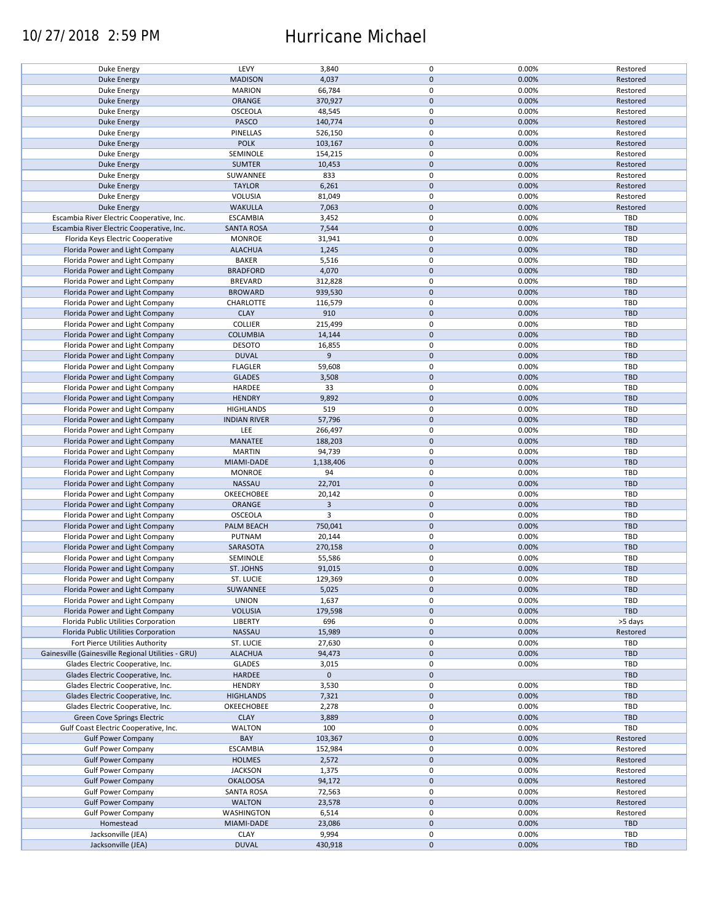### 10/27/2018 2:59 PM Hurricane Michael

| Duke Energy                                        | LEVY                | 3,840       | $\pmb{0}$           | 0.00% | Restored   |
|----------------------------------------------------|---------------------|-------------|---------------------|-------|------------|
| <b>Duke Energy</b>                                 | <b>MADISON</b>      | 4,037       | $\mathbf 0$         | 0.00% | Restored   |
|                                                    |                     |             |                     |       |            |
| Duke Energy                                        | <b>MARION</b>       | 66,784      | 0                   | 0.00% | Restored   |
| <b>Duke Energy</b>                                 | ORANGE              | 370,927     | $\mathbf 0$         | 0.00% | Restored   |
|                                                    |                     |             | $\pmb{0}$           | 0.00% |            |
| Duke Energy                                        | <b>OSCEOLA</b>      | 48,545      |                     |       | Restored   |
| <b>Duke Energy</b>                                 | PASCO               | 140,774     | $\mathbf 0$         | 0.00% | Restored   |
| Duke Energy                                        | PINELLAS            | 526,150     | $\pmb{0}$           | 0.00% | Restored   |
|                                                    |                     |             |                     |       |            |
| <b>Duke Energy</b>                                 | <b>POLK</b>         | 103,167     | $\mathbf 0$         | 0.00% | Restored   |
| Duke Energy                                        | SEMINOLE            | 154,215     | $\pmb{0}$           | 0.00% | Restored   |
| <b>Duke Energy</b>                                 | <b>SUMTER</b>       | 10,453      | $\mathbf 0$         | 0.00% | Restored   |
|                                                    |                     |             |                     |       |            |
| Duke Energy                                        | SUWANNEE            | 833         | $\pmb{0}$           | 0.00% | Restored   |
| <b>Duke Energy</b>                                 | <b>TAYLOR</b>       | 6,261       | $\mathbf 0$         | 0.00% | Restored   |
|                                                    |                     |             |                     |       |            |
| Duke Energy                                        | <b>VOLUSIA</b>      | 81,049      | $\pmb{0}$           | 0.00% | Restored   |
| <b>Duke Energy</b>                                 | <b>WAKULLA</b>      | 7,063       | $\mathbf 0$         | 0.00% | Restored   |
| Escambia River Electric Cooperative, Inc.          | <b>ESCAMBIA</b>     | 3,452       | 0                   | 0.00% | <b>TBD</b> |
|                                                    |                     |             |                     |       |            |
| Escambia River Electric Cooperative, Inc.          | <b>SANTA ROSA</b>   | 7,544       | $\pmb{0}$           | 0.00% | <b>TBD</b> |
| Florida Keys Electric Cooperative                  | <b>MONROE</b>       | 31,941      | 0                   | 0.00% | TBD        |
|                                                    |                     |             |                     |       |            |
| Florida Power and Light Company                    | <b>ALACHUA</b>      | 1,245       | $\pmb{0}$           | 0.00% | <b>TBD</b> |
| Florida Power and Light Company                    | <b>BAKER</b>        | 5,516       | $\pmb{0}$           | 0.00% | <b>TBD</b> |
| Florida Power and Light Company                    | <b>BRADFORD</b>     | 4,070       | $\pmb{0}$           | 0.00% | <b>TBD</b> |
|                                                    |                     |             |                     |       |            |
| Florida Power and Light Company                    | <b>BREVARD</b>      | 312,828     | 0                   | 0.00% | <b>TBD</b> |
| Florida Power and Light Company                    | <b>BROWARD</b>      | 939,530     | $\pmb{0}$           | 0.00% | <b>TBD</b> |
|                                                    |                     |             |                     |       |            |
| Florida Power and Light Company                    | CHARLOTTE           | 116,579     | 0                   | 0.00% | <b>TBD</b> |
| Florida Power and Light Company                    | <b>CLAY</b>         | 910         | $\pmb{0}$           | 0.00% | <b>TBD</b> |
|                                                    | <b>COLLIER</b>      |             | $\pmb{0}$           | 0.00% | <b>TBD</b> |
| Florida Power and Light Company                    |                     | 215,499     |                     |       |            |
| Florida Power and Light Company                    | <b>COLUMBIA</b>     | 14,144      | $\pmb{0}$           | 0.00% | <b>TBD</b> |
| Florida Power and Light Company                    | <b>DESOTO</b>       | 16,855      | $\pmb{0}$           | 0.00% | <b>TBD</b> |
|                                                    |                     |             |                     |       |            |
| Florida Power and Light Company                    | <b>DUVAL</b>        | 9           | $\mathsf{O}\xspace$ | 0.00% | <b>TBD</b> |
| Florida Power and Light Company                    | <b>FLAGLER</b>      | 59,608      | $\pmb{0}$           | 0.00% | <b>TBD</b> |
|                                                    |                     |             |                     |       |            |
| Florida Power and Light Company                    | <b>GLADES</b>       | 3,508       | $\mathsf{O}\xspace$ | 0.00% | <b>TBD</b> |
| Florida Power and Light Company                    | HARDEE              | 33          | $\pmb{0}$           | 0.00% | TBD        |
| Florida Power and Light Company                    | <b>HENDRY</b>       | 9,892       | $\pmb{0}$           | 0.00% | <b>TBD</b> |
|                                                    |                     |             |                     |       |            |
| Florida Power and Light Company                    | <b>HIGHLANDS</b>    | 519         | $\pmb{0}$           | 0.00% | <b>TBD</b> |
| Florida Power and Light Company                    | <b>INDIAN RIVER</b> | 57,796      | $\mathbf 0$         | 0.00% | <b>TBD</b> |
|                                                    |                     |             |                     |       |            |
| Florida Power and Light Company                    | LEE                 | 266,497     | 0                   | 0.00% | TBD        |
| Florida Power and Light Company                    | MANATEE             | 188,203     | $\pmb{0}$           | 0.00% | <b>TBD</b> |
|                                                    |                     |             |                     |       |            |
| Florida Power and Light Company                    | <b>MARTIN</b>       | 94,739      | 0                   | 0.00% | <b>TBD</b> |
| Florida Power and Light Company                    | MIAMI-DADE          | 1,138,406   | $\pmb{0}$           | 0.00% | <b>TBD</b> |
| Florida Power and Light Company                    | <b>MONROE</b>       | 94          | 0                   | 0.00% | <b>TBD</b> |
|                                                    |                     |             |                     |       |            |
| Florida Power and Light Company                    | <b>NASSAU</b>       | 22,701      | $\mathbf 0$         | 0.00% | <b>TBD</b> |
| Florida Power and Light Company                    | OKEECHOBEE          | 20,142      | 0                   | 0.00% | <b>TBD</b> |
|                                                    |                     |             |                     |       |            |
| Florida Power and Light Company                    | <b>ORANGE</b>       | 3           | $\mathbf 0$         | 0.00% | <b>TBD</b> |
| Florida Power and Light Company                    | <b>OSCEOLA</b>      | 3           | $\pmb{0}$           | 0.00% | <b>TBD</b> |
| Florida Power and Light Company                    | PALM BEACH          | 750,041     | $\mathbf 0$         | 0.00% | <b>TBD</b> |
|                                                    |                     |             |                     |       |            |
| Florida Power and Light Company                    | PUTNAM              | 20,144      | $\pmb{0}$           | 0.00% | TBD        |
| Florida Power and Light Company                    | SARASOTA            | 270,158     | $\mathbf 0$         | 0.00% | <b>TBD</b> |
|                                                    |                     |             |                     |       |            |
| Florida Power and Light Company                    | SEMINOLE            | 55,586      | $\pmb{0}$           | 0.00% | <b>TBD</b> |
| Florida Power and Light Company                    | <b>ST. JOHNS</b>    | 91,015      | $\pmb{0}$           | 0.00% | <b>TBD</b> |
|                                                    |                     |             | $\mathbf 0$         |       | TBD        |
| Florida Power and Light Company                    | ST. LUCIE           | 129,369     |                     | 0.00% |            |
| Florida Power and Light Company                    | SUWANNEE            | 5,025       | $\pmb{0}$           | 0.00% | <b>TBD</b> |
| Florida Power and Light Company                    | <b>UNION</b>        | 1,637       | 0                   | 0.00% | <b>TBD</b> |
|                                                    |                     |             |                     |       |            |
| Florida Power and Light Company                    | <b>VOLUSIA</b>      | 179,598     | $\mathbf 0$         | 0.00% | <b>TBD</b> |
| Florida Public Utilities Corporation               | LIBERTY             | 696         | 0                   | 0.00% | >5 days    |
| Florida Public Utilities Corporation               | NASSAU              |             | $\mathsf{O}\xspace$ | 0.00% | Restored   |
|                                                    |                     | 15,989      |                     |       |            |
| Fort Pierce Utilities Authority                    | ST. LUCIE           | 27,630      | 0                   | 0.00% | <b>TBD</b> |
| Gainesville (Gainesville Regional Utilities - GRU) | <b>ALACHUA</b>      | 94,473      | $\mathsf{O}\xspace$ | 0.00% | <b>TBD</b> |
|                                                    |                     |             |                     |       |            |
| Glades Electric Cooperative, Inc.                  | <b>GLADES</b>       | 3,015       | 0                   | 0.00% | <b>TBD</b> |
| Glades Electric Cooperative, Inc.                  | HARDEE              | $\mathbf 0$ | $\mathsf{O}\xspace$ |       | <b>TBD</b> |
| Glades Electric Cooperative, Inc.                  | <b>HENDRY</b>       | 3,530       | 0                   | 0.00% | <b>TBD</b> |
|                                                    |                     |             |                     |       |            |
| Glades Electric Cooperative, Inc.                  | <b>HIGHLANDS</b>    | 7,321       | $\pmb{0}$           | 0.00% | <b>TBD</b> |
| Glades Electric Cooperative, Inc.                  | OKEECHOBEE          | 2,278       | 0                   | 0.00% | <b>TBD</b> |
|                                                    |                     |             |                     |       |            |
| Green Cove Springs Electric                        | <b>CLAY</b>         | 3,889       | $\mathsf{O}\xspace$ | 0.00% | <b>TBD</b> |
| Gulf Coast Electric Cooperative, Inc.              | <b>WALTON</b>       | 100         | 0                   | 0.00% | TBD        |
| <b>Gulf Power Company</b>                          | BAY                 | 103,367     | $\pmb{0}$           | 0.00% | Restored   |
|                                                    |                     |             |                     |       |            |
| <b>Gulf Power Company</b>                          | <b>ESCAMBIA</b>     | 152,984     | 0                   | 0.00% | Restored   |
| <b>Gulf Power Company</b>                          | <b>HOLMES</b>       | 2,572       | $\pmb{0}$           | 0.00% | Restored   |
|                                                    |                     |             |                     |       |            |
| <b>Gulf Power Company</b>                          | <b>JACKSON</b>      | 1,375       | 0                   | 0.00% | Restored   |
| <b>Gulf Power Company</b>                          | <b>OKALOOSA</b>     | 94,172      | $\pmb{0}$           | 0.00% | Restored   |
| <b>Gulf Power Company</b>                          | <b>SANTA ROSA</b>   | 72,563      | $\pmb{0}$           | 0.00% | Restored   |
|                                                    |                     |             |                     |       |            |
| <b>Gulf Power Company</b>                          | <b>WALTON</b>       | 23,578      | $\pmb{0}$           | 0.00% | Restored   |
| <b>Gulf Power Company</b>                          | <b>WASHINGTON</b>   | 6,514       | $\mathbf 0$         | 0.00% | Restored   |
|                                                    |                     |             |                     |       |            |
| Homestead                                          | MIAMI-DADE          | 23,086      | $\pmb{0}$           | 0.00% | <b>TBD</b> |
| Jacksonville (JEA)                                 | <b>CLAY</b>         | 9,994       | 0                   | 0.00% | <b>TBD</b> |
|                                                    |                     |             |                     |       |            |
| Jacksonville (JEA)                                 | <b>DUVAL</b>        | 430,918     | $\pmb{0}$           | 0.00% | <b>TBD</b> |